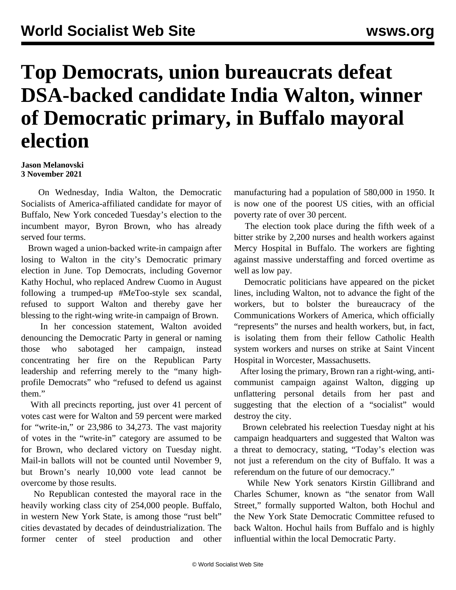## **Top Democrats, union bureaucrats defeat DSA-backed candidate India Walton, winner of Democratic primary, in Buffalo mayoral election**

## **Jason Melanovski 3 November 2021**

 On Wednesday, India Walton, the Democratic Socialists of America-affiliated candidate for mayor of Buffalo, New York conceded Tuesday's election to the incumbent mayor, Byron Brown, who has already served four terms.

 Brown waged a union-backed write-in campaign after losing to Walton in the city's Democratic primary election in June. Top Democrats, including Governor Kathy Hochul, who replaced Andrew Cuomo in August following a trumped-up #MeToo-style sex scandal, refused to support Walton and thereby gave her blessing to the right-wing write-in campaign of Brown.

 In her concession statement, Walton avoided denouncing the Democratic Party in general or naming those who sabotaged her campaign, instead concentrating her fire on the Republican Party leadership and referring merely to the "many highprofile Democrats" who "refused to defend us against them."

 With all precincts reporting, just over 41 percent of votes cast were for Walton and 59 percent were marked for "write-in," or 23,986 to 34,273. The vast majority of votes in the "write-in" category are assumed to be for Brown, who declared victory on Tuesday night. Mail-in ballots will not be counted until November 9, but Brown's nearly 10,000 vote lead cannot be overcome by those results.

 No Republican contested the mayoral race in the heavily working class city of 254,000 people. Buffalo, in western New York State, is among those "rust belt" cities devastated by decades of deindustrialization. The former center of steel production and other manufacturing had a population of 580,000 in 1950. It is now one of the poorest US cities, with an official poverty rate of over 30 percent.

 The election took place during the fifth week of a bitter strike by 2,200 nurses and health workers against Mercy Hospital in Buffalo. The workers are fighting against massive understaffing and forced overtime as well as low pay.

 Democratic politicians have appeared on the picket lines, including Walton, not to advance the fight of the workers, but to bolster the bureaucracy of the Communications Workers of America, which officially "represents" the nurses and health workers, but, in fact, is isolating them from their fellow Catholic Health system workers and nurses on strike at Saint Vincent Hospital in Worcester, Massachusetts.

 After losing the primary, Brown ran a right-wing, anticommunist campaign against Walton, digging up unflattering personal details from her past and suggesting that the election of a "socialist" would destroy the city.

 Brown celebrated his reelection Tuesday night at his campaign headquarters and suggested that Walton was a threat to democracy, stating, "Today's election was not just a referendum on the city of Buffalo. It was a referendum on the future of our democracy."

 While New York senators Kirstin Gillibrand and Charles Schumer, known as "the senator from Wall Street," formally supported Walton, both Hochul and the New York State Democratic Committee refused to back Walton. Hochul hails from Buffalo and is highly influential within the local Democratic Party.